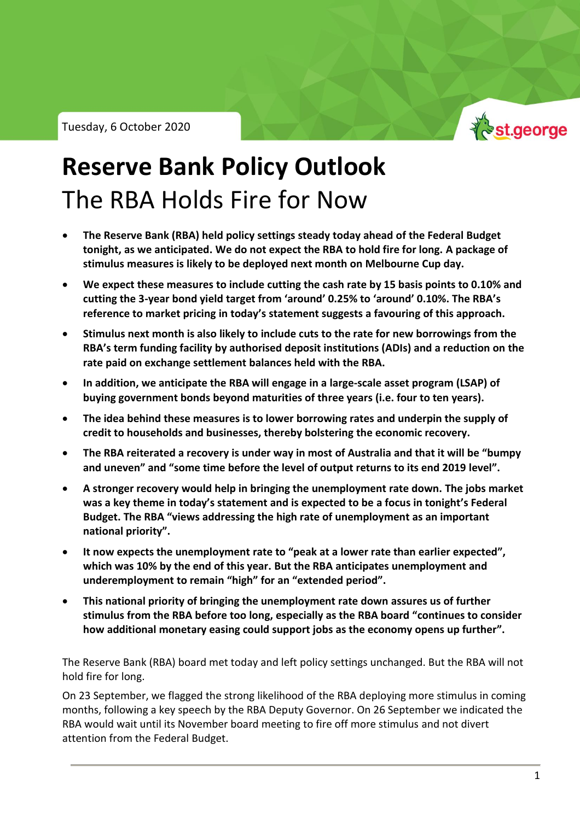

## **Reserve Bank Policy Outlook** The RBA Holds Fire for Now

- **The Reserve Bank (RBA) held policy settings steady today ahead of the Federal Budget tonight, as we anticipated. We do not expect the RBA to hold fire for long. A package of stimulus measures is likely to be deployed next month on Melbourne Cup day.**
- **We expect these measures to include cutting the cash rate by 15 basis points to 0.10% and cutting the 3-year bond yield target from 'around' 0.25% to 'around' 0.10%. The RBA's reference to market pricing in today's statement suggests a favouring of this approach.**
- **Stimulus next month is also likely to include cuts to the rate for new borrowings from the RBA's term funding facility by authorised deposit institutions (ADIs) and a reduction on the rate paid on exchange settlement balances held with the RBA.**
- **In addition, we anticipate the RBA will engage in a large-scale asset program (LSAP) of buying government bonds beyond maturities of three years (i.e. four to ten years).**
- **The idea behind these measures is to lower borrowing rates and underpin the supply of credit to households and businesses, thereby bolstering the economic recovery.**
- **The RBA reiterated a recovery is under way in most of Australia and that it will be "bumpy and uneven" and "some time before the level of output returns to its end 2019 level".**
- **A stronger recovery would help in bringing the unemployment rate down. The jobs market was a key theme in today's statement and is expected to be a focus in tonight's Federal Budget. The RBA "views addressing the high rate of unemployment as an important national priority".**
- **It now expects the unemployment rate to "peak at a lower rate than earlier expected", which was 10% by the end of this year. But the RBA anticipates unemployment and underemployment to remain "high" for an "extended period".**
- **This national priority of bringing the unemployment rate down assures us of further stimulus from the RBA before too long, especially as the RBA board "continues to consider how additional monetary easing could support jobs as the economy opens up further".**

The Reserve Bank (RBA) board met today and left policy settings unchanged. But the RBA will not hold fire for long.

On 23 September, we flagged the strong likelihood of the RBA deploying more stimulus in coming months, following a key speech by the RBA Deputy Governor. On 26 September we indicated the RBA would wait until its November board meeting to fire off more stimulus and not divert attention from the Federal Budget.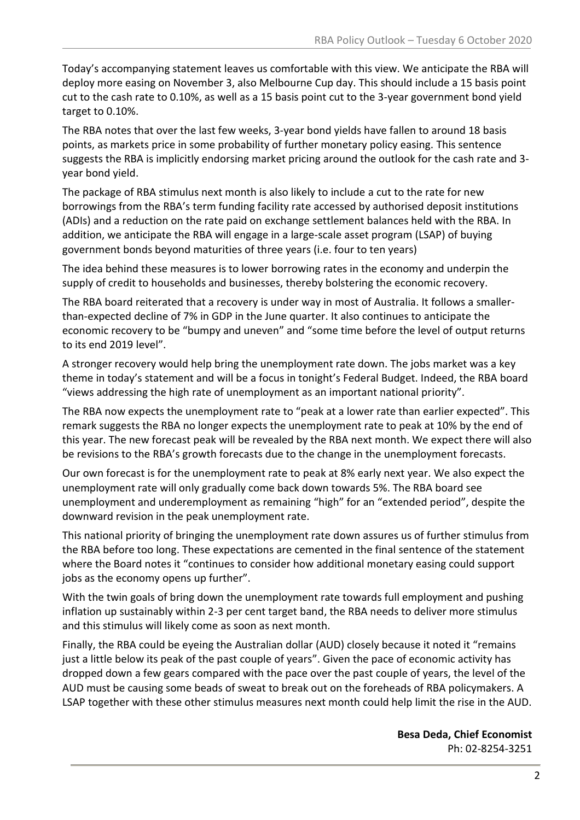Today's accompanying statement leaves us comfortable with this view. We anticipate the RBA will deploy more easing on November 3, also Melbourne Cup day. This should include a 15 basis point cut to the cash rate to 0.10%, as well as a 15 basis point cut to the 3-year government bond yield target to 0.10%.

The RBA notes that over the last few weeks, 3-year bond yields have fallen to around 18 basis points, as markets price in some probability of further monetary policy easing. This sentence suggests the RBA is implicitly endorsing market pricing around the outlook for the cash rate and 3 year bond yield.

The package of RBA stimulus next month is also likely to include a cut to the rate for new borrowings from the RBA's term funding facility rate accessed by authorised deposit institutions (ADIs) and a reduction on the rate paid on exchange settlement balances held with the RBA. In addition, we anticipate the RBA will engage in a large-scale asset program (LSAP) of buying government bonds beyond maturities of three years (i.e. four to ten years)

The idea behind these measures is to lower borrowing rates in the economy and underpin the supply of credit to households and businesses, thereby bolstering the economic recovery.

The RBA board reiterated that a recovery is under way in most of Australia. It follows a smallerthan-expected decline of 7% in GDP in the June quarter. It also continues to anticipate the economic recovery to be "bumpy and uneven" and "some time before the level of output returns to its end 2019 level".

A stronger recovery would help bring the unemployment rate down. The jobs market was a key theme in today's statement and will be a focus in tonight's Federal Budget. Indeed, the RBA board "views addressing the high rate of unemployment as an important national priority".

The RBA now expects the unemployment rate to "peak at a lower rate than earlier expected". This remark suggests the RBA no longer expects the unemployment rate to peak at 10% by the end of this year. The new forecast peak will be revealed by the RBA next month. We expect there will also be revisions to the RBA's growth forecasts due to the change in the unemployment forecasts.

Our own forecast is for the unemployment rate to peak at 8% early next year. We also expect the unemployment rate will only gradually come back down towards 5%. The RBA board see unemployment and underemployment as remaining "high" for an "extended period", despite the downward revision in the peak unemployment rate.

This national priority of bringing the unemployment rate down assures us of further stimulus from the RBA before too long. These expectations are cemented in the final sentence of the statement where the Board notes it "continues to consider how additional monetary easing could support jobs as the economy opens up further".

With the twin goals of bring down the unemployment rate towards full employment and pushing inflation up sustainably within 2-3 per cent target band, the RBA needs to deliver more stimulus and this stimulus will likely come as soon as next month.

Finally, the RBA could be eyeing the Australian dollar (AUD) closely because it noted it "remains just a little below its peak of the past couple of years". Given the pace of economic activity has dropped down a few gears compared with the pace over the past couple of years, the level of the AUD must be causing some beads of sweat to break out on the foreheads of RBA policymakers. A LSAP together with these other stimulus measures next month could help limit the rise in the AUD.

> **Besa Deda, Chief Economist** Ph: 02-8254-3251